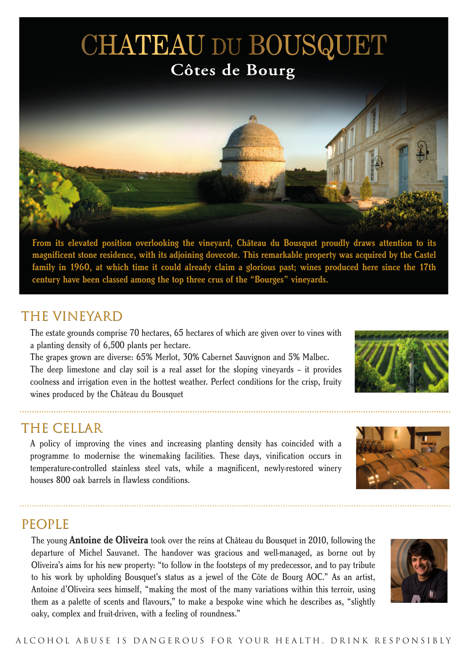## **CHATEAU DU BOUSQUET** Côtes de Bourg



**From its elevated position overlooking the vineyard, Château du Bousquet proudly draws attention to its magnificent stone residence, with its adjoining dovecote. This remarkable property was acquired by the Castel family in 1960, at which time it could already claim a glorious past; wines produced here since the 17th century have been classed among the top three crus of the "Bourges" vineyards.**

### THE VINEYARD

The estate grounds comprise 70 hectares, 65 hectares of which are given over to vines with a planting density of 6,500 plants per hectare.

The grapes grown are diverse: 65% Merlot, 30% Cabernet Sauvignon and 5% Malbec. The deep limestone and clay soil is a real asset for the sloping vineyards – it provides coolness and irrigation even in the hottest weather. Perfect conditions for the crisp, fruity wines produced by the Château du Bousquet

### THE CELLAR

A policy of improving the vines and increasing planting density has coincided with a programme to modernise the winemaking facilities. These days, vinification occurs in temperature-controlled stainless steel vats, while a magnificent, newly-restored winery houses 800 oak barrels in flawless conditions.



### **PEOPLE**

The young **Antoine de Oliveira** took over the reins at Château du Bousquet in 2010, following the departure of Michel Sauvanet. The handover was gracious and well-managed, as borne out by Oliveira's aims for his new property: "to follow in the footsteps of my predecessor, and to pay tribute to his work by upholding Bousquet's status as a jewel of the Côte de Bourg AOC." As an artist, Antoine d'Oliveira sees himself, "making the most of the many variations within this terroir, using them as a palette of scents and flavours," to make a bespoke wine which he describes as, "slightly oaky, complex and fruit-driven, with a feeling of roundness."